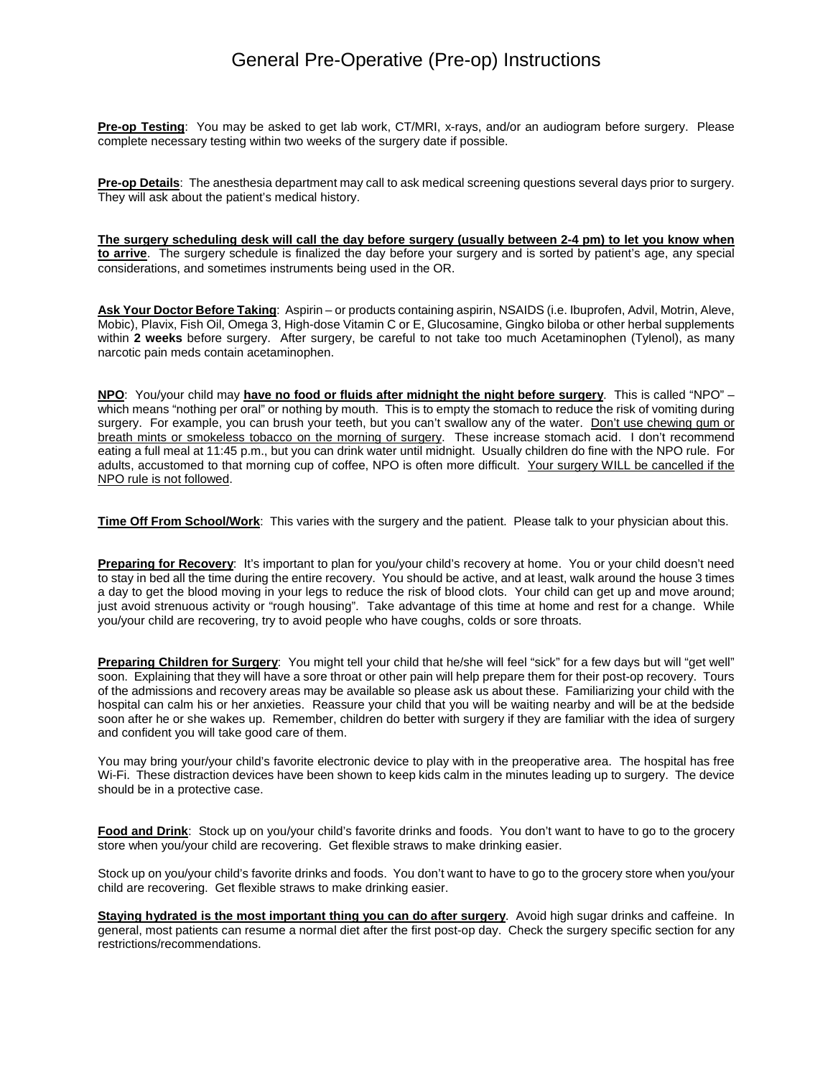## General Pre-Operative (Pre-op) Instructions

**Pre-op Testing**: You may be asked to get lab work, CT/MRI, x-rays, and/or an audiogram before surgery. Please complete necessary testing within two weeks of the surgery date if possible.

**Pre-op Details**: The anesthesia department may call to ask medical screening questions several days prior to surgery. They will ask about the patient's medical history.

**The surgery scheduling desk will call the day before surgery (usually between 2-4 pm) to let you know when to arrive**. The surgery schedule is finalized the day before your surgery and is sorted by patient's age, any special considerations, and sometimes instruments being used in the OR.

**Ask Your Doctor Before Taking**: Aspirin – or products containing aspirin, NSAIDS (i.e. Ibuprofen, Advil, Motrin, Aleve, Mobic), Plavix, Fish Oil, Omega 3, High-dose Vitamin C or E, Glucosamine, Gingko biloba or other herbal supplements within **2 weeks** before surgery. After surgery, be careful to not take too much Acetaminophen (Tylenol), as many narcotic pain meds contain acetaminophen.

**NPO**: You/your child may **have no food or fluids after midnight the night before surgery**. This is called "NPO" – which means "nothing per oral" or nothing by mouth. This is to empty the stomach to reduce the risk of vomiting during surgery. For example, you can brush your teeth, but you can't swallow any of the water. Don't use chewing gum or breath mints or smokeless tobacco on the morning of surgery. These increase stomach acid. I don't recommend eating a full meal at 11:45 p.m., but you can drink water until midnight. Usually children do fine with the NPO rule. For adults, accustomed to that morning cup of coffee, NPO is often more difficult. Your surgery WILL be cancelled if the NPO rule is not followed.

**Time Off From School/Work**: This varies with the surgery and the patient. Please talk to your physician about this.

**Preparing for Recovery**: It's important to plan for you/your child's recovery at home. You or your child doesn't need to stay in bed all the time during the entire recovery. You should be active, and at least, walk around the house 3 times a day to get the blood moving in your legs to reduce the risk of blood clots. Your child can get up and move around; just avoid strenuous activity or "rough housing". Take advantage of this time at home and rest for a change. While you/your child are recovering, try to avoid people who have coughs, colds or sore throats.

**Preparing Children for Surgery**: You might tell your child that he/she will feel "sick" for a few days but will "get well" soon. Explaining that they will have a sore throat or other pain will help prepare them for their post-op recovery. Tours of the admissions and recovery areas may be available so please ask us about these. Familiarizing your child with the hospital can calm his or her anxieties. Reassure your child that you will be waiting nearby and will be at the bedside soon after he or she wakes up. Remember, children do better with surgery if they are familiar with the idea of surgery and confident you will take good care of them.

You may bring your/your child's favorite electronic device to play with in the preoperative area. The hospital has free Wi-Fi. These distraction devices have been shown to keep kids calm in the minutes leading up to surgery. The device should be in a protective case.

**Food and Drink**: Stock up on you/your child's favorite drinks and foods. You don't want to have to go to the grocery store when you/your child are recovering. Get flexible straws to make drinking easier.

Stock up on you/your child's favorite drinks and foods. You don't want to have to go to the grocery store when you/your child are recovering. Get flexible straws to make drinking easier.

**Staying hydrated is the most important thing you can do after surgery**. Avoid high sugar drinks and caffeine. In general, most patients can resume a normal diet after the first post-op day. Check the surgery specific section for any restrictions/recommendations.